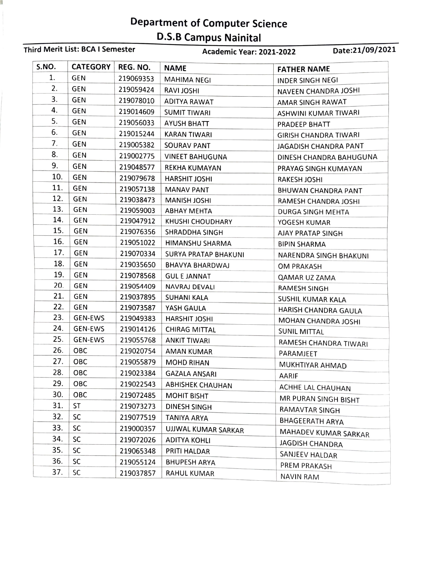## Department of Computer Science D.S.B Campus Nainital

| S.NO.<br><b>CATEGORY</b><br>REG. NO. |                          |                        | <b>NAME</b><br><b>FATHER NAME</b> |                              |
|--------------------------------------|--------------------------|------------------------|-----------------------------------|------------------------------|
| 1.                                   | <b>GEN</b>               | 219069353              | <b>MAHIMA NEGI</b>                | <b>INDER SINGH NEGI</b>      |
| 2.                                   | GEN                      | 219059424              | <b>RAVI JOSHI</b>                 | NAVEEN CHANDRA JOSHI         |
| 3.                                   | <b>GEN</b>               | 219078010              | <b>ADITYA RAWAT</b>               |                              |
| 4.                                   | <b>GEN</b>               | 219014609              | <b>SUMIT TIWARI</b>               | AMAR SINGH RAWAT             |
| 5.                                   | <b>GEN</b>               | 219056033              | <b>AYUSH BHATT</b>                | ASHWINI KUMAR TIWARI         |
| 6.                                   | <b>GEN</b>               | 219015244              | <b>KARAN TIWARI</b>               | PRADEEP BHATT                |
| 7.                                   | <b>GEN</b>               | 219005382              |                                   | <b>GIRISH CHANDRA TIWARI</b> |
| 8.                                   | GEN                      | 219002775              | SOURAV PANT                       | JAGADISH CHANDRA PANT        |
| 9.                                   | <b>GEN</b>               | 219048577              | <b>VINEET BAHUGUNA</b>            | DINESH CHANDRA BAHUGUNA      |
| 10.                                  | <b>GEN</b>               |                        | REKHA KUMAYAN                     | PRAYAG SINGH KUMAYAN         |
| 11.                                  | <b>GEN</b>               | 219079678              | HARSHIT JOSHI                     | RAKESH JOSHI                 |
| 12.                                  | <b>GEN</b>               | 219057138              | <b>MANAV PANT</b>                 | BHUWAN CHANDRA PANT          |
| 13.                                  | <b>GEN</b>               | 219038473              | <b>MANISH JOSHI</b>               | RAMESH CHANDRA JOSHI         |
| 14.                                  | <b>GEN</b>               | 219059003              | <b>ABHAY MEHTA</b>                | DURGA SINGH MEHTA            |
| 15.                                  | <b>GEN</b>               | 219047912<br>219076356 | <b>KHUSHI CHOUDHARY</b>           | YOGESH KUMAR                 |
| 16.                                  | <b>GEN</b>               |                        | <b>SHRADDHA SINGH</b>             | AJAY PRATAP SINGH            |
| 17.                                  | <b>GEN</b>               | 219051022              | HIMANSHU SHARMA                   | <b>BIPIN SHARMA</b>          |
| 18.                                  | <b>GEN</b>               | 219070334              | <b>SURYA PRATAP BHAKUNI</b>       | NARENDRA SINGH BHAKUNI       |
| 19.                                  | <b>GEN</b>               | 219035650              | <b>BHAVYA BHARDWAJ</b>            | <b>OM PRAKASH</b>            |
| 20.                                  | <b>GEN</b>               | 219078568              | <b>GUL E JANNAT</b>               | QAMAR UZ ZAMA                |
| 21.                                  |                          | 219054409              | NAVRAJ DEVALI                     | RAMESH SINGH                 |
| 22.                                  | <b>GEN</b><br><b>GEN</b> | 219037895              | SUHANI KALA                       | SUSHIL KUMAR KALA            |
| 23.                                  |                          | 219073587              | YASH GAULA                        | HARISH CHANDRA GAULA         |
|                                      | <b>GEN-EWS</b>           | 219049383              | HARSHIT JOSHI                     | MOHAN CHANDRA JOSHI          |
| 24.<br>25.                           | GEN-EWS                  | 219014126              | <b>CHIRAG MITTAL</b>              | <b>SUNIL MITTAL</b>          |
|                                      | <b>GEN-EWS</b>           | 219055768              | <b>ANKIT TIWARI</b>               | RAMESH CHANDRA TIWARI        |
| 26.                                  | OBC                      | 219020754              | AMAN KUMAR.                       | PARAMJEET                    |
| 27.                                  | OBC                      | 219055879              | <b>MOHD RIHAN</b>                 | MUKHTIYAR AHMAD              |
| 28.                                  | ОВС                      | 219023384              | <b>GAZALA ANSARI</b>              | AARIF                        |
| 29.                                  | OBC                      | 219022543              | <b>ABHISHEK CHAUHAN</b>           | ACHHE LAL CHAUHAN            |
| 30.                                  | OBC                      | 219072485              | <b>MOHIT BISHT</b>                | MR PURAN SINGH BISHT         |
| 31.                                  | ST                       | 219073273              | <b>DINESH SINGH</b>               | RAMAVTAR SINGH               |
| 32.                                  | SC                       | 219077519              | <b>TANIYA ARYA</b>                | <b>BHAGEERATH ARYA</b>       |
| 33.                                  | SC                       | 219000357              | UJJWAL KUMAR SARKAR               | MAHADEV KUMAR SARKAR         |
| 34.                                  | SC                       | 219072026              | <b>ADITYA KOHLI</b>               | <b>JAGDISH CHANDRA</b>       |
| 35.                                  | SC                       | 219065348              | PRITI HALDAR                      | SANJEEV HALDAR               |
| 36.                                  | <b>SC</b>                | 219055124              | <b>BHUPESH ARYA</b>               | <b>PREM PRAKASH</b>          |
| 37.                                  | SC                       | 219037857              | RAHUL KUMAR                       | <b>NAVIN RAM</b>             |